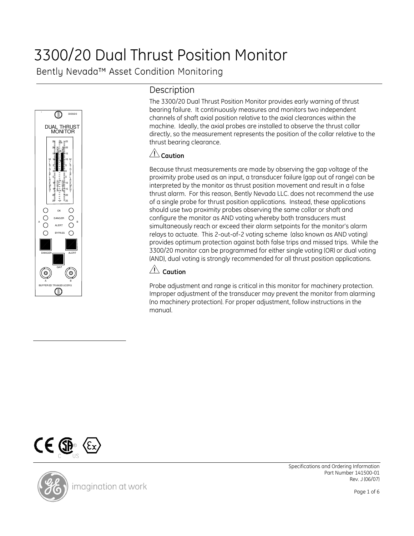# 3300/20 Dual Thrust Position Monitor

Bently Nevada™ Asset Condition Monitoring



# **Description**

The 3300/20 Dual Thrust Position Monitor provides early warning of thrust bearing failure. It continuously measures and monitors two independent channels of shaft axial position relative to the axial clearances within the machine. Ideally, the axial probes are installed to observe the thrust collar directly, so the measurement represents the position of the collar relative to the thrust bearing clearance.

### $\angle \text{C}$ Caution

Because thrust measurements are made by observing the gap voltage of the proximity probe used as an input, a transducer failure (gap out of range) can be interpreted by the monitor as thrust position movement and result in a false thrust alarm. For this reason, Bently Nevada LLC. does not recommend the use of a single probe for thrust position applications. Instead, these applications should use two proximity probes observing the same collar or shaft and configure the monitor as AND voting whereby both transducers must simultaneously reach or exceed their alarm setpoints for the monitor's alarm relays to actuate. This 2-out-of-2 voting scheme (also known as AND voting) provides optimum protection against both false trips and missed trips. While the 3300/20 monitor can be programmed for either single voting (OR) or dual voting (AND), dual voting is strongly recommended for all thrust position applications.

# $\angle \! \triangle$  Caution

Probe adjustment and range is critical in this monitor for machinery protection. Improper adjustment of the transducer may prevent the monitor from alarming (no machinery protection). For proper adjustment, follow instructions in the manual.



imagination at work

Specifications and Ordering Information Part Number 141500-01 Rev. J (06/07)

Page 1 of 6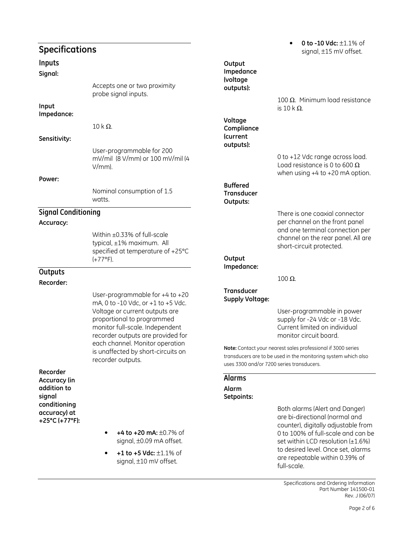# Specifications

#### Inputs

#### Signal:

Accepts one or two proximity probe signal inputs. Input Impedance:  $10$  k Ω. Sensitivity: User-programmable for 200 mV/mil (8 V/mm) or 100 mV/mil (4 V/mm). Power: Nominal consumption of 1.5 watts. Signal Conditioning Accuracy: Within ±0.33% of full-scale typical, ±1% maximum. All specified at temperature of +25°C  $(+77^{\circ}F)$ . **Outputs** Recorder: User-programmable for +4 to +20 mA, 0 to -10 Vdc, or +1 to +5 Vdc. Voltage or current outputs are

proportional to programmed monitor full-scale. Independent recorder outputs are provided for each channel. Monitor operation is unaffected by short-circuits on recorder outputs.

Recorder Accuracy (in addition to signal conditioning accuracy) at +25°C (+77°F):

- $+4$  to  $+20$  mA:  $\pm 0.7$ % of signal, ±0.09 mA offset.
- $+1$  to  $+5$  Vdc:  $\pm 1.1$ % of signal, ±10 mV offset.

# 0 to -10 Vdc:  $\pm 1.1\%$  of signal, ±15 mV offset.

100 Ω. Minimum load resistance is  $10$  k Ω.

0 to +12 Vdc range across load. Load resistance is 0 to 600  $\Omega$ when using +4 to +20 mA option.

There is one coaxial connector per channel on the front panel and one terminal connection per channel on the rear panel. All are short-circuit protected.

#### **Output** Impedance:

**Output** Impedance (voltage outputs):

Voltage **Compliance** (current outputs):

Buffered **Transducer** Outputs:

100 Ω.

#### **Transducer** Supply Voltage:

User-programmable in power supply for -24 Vdc or -18 Vdc. Current limited on individual monitor circuit board.

Note: Contact your nearest sales professional if 3000 series transducers are to be used in the monitoring system which also uses 3300 and/or 7200 series transducers.

#### Alarms Alarm

#### Setpoints:

Both alarms (Alert and Danger) are bi-directional (normal and counter), digitally adjustable from 0 to 100% of full-scale and can be set within LCD resolution  $(\pm 1.6\%)$ to desired level. Once set, alarms are repeatable within 0.39% of full-scale.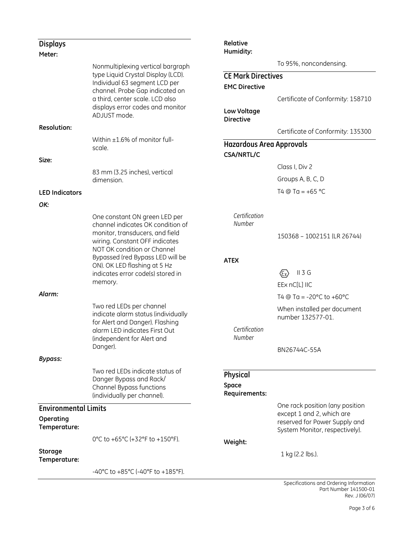| <b>Displays</b>                                          |                                                                                                                                                                                               | Relative<br>Humidity:                                                                |                                                                                                                                 |
|----------------------------------------------------------|-----------------------------------------------------------------------------------------------------------------------------------------------------------------------------------------------|--------------------------------------------------------------------------------------|---------------------------------------------------------------------------------------------------------------------------------|
| Meter:                                                   | Nonmultiplexing vertical bargraph                                                                                                                                                             |                                                                                      | To 95%, noncondensing.                                                                                                          |
|                                                          | type Liquid Crystal Display (LCD).<br>Individual 63 segment LCD per<br>channel. Probe Gap indicated on<br>a third, center scale. LCD also<br>displays error codes and monitor<br>ADJUST mode. | <b>CE Mark Directives</b><br><b>EMC Directive</b><br>Low Voltage<br><b>Directive</b> | Certificate of Conformity: 158710                                                                                               |
| <b>Resolution:</b>                                       |                                                                                                                                                                                               |                                                                                      | Certificate of Conformity: 135300                                                                                               |
|                                                          | Within $\pm 1.6\%$ of monitor full-<br>scale.                                                                                                                                                 | <b>Hazardous Area Approvals</b><br><b>CSA/NRTL/C</b>                                 |                                                                                                                                 |
| Size:                                                    |                                                                                                                                                                                               |                                                                                      | Class I, Div 2                                                                                                                  |
|                                                          | 83 mm (3.25 inches), vertical<br>dimension.                                                                                                                                                   |                                                                                      | Groups A, B, C, D                                                                                                               |
| <b>LED Indicators</b>                                    |                                                                                                                                                                                               |                                                                                      | T4 @ Ta = $+65$ °C                                                                                                              |
| OK:                                                      |                                                                                                                                                                                               |                                                                                      |                                                                                                                                 |
|                                                          | One constant ON green LED per<br>channel indicates OK condition of<br>monitor, transducers, and field<br>wiring. Constant OFF indicates<br>NOT OK condition or Channel                        | Certification<br>Number                                                              | 150368 - 1002151 (LR 26744)                                                                                                     |
|                                                          | Bypassed (red Bypass LED will be<br>ON). OK LED flashing at 5 Hz<br>indicates error code(s) stored in<br>memory.                                                                              | <b>ATEX</b>                                                                          | $II$ 3 G<br>$\langle \epsilon_{\rm x} \rangle$<br>EEx nC[L] IIC                                                                 |
| Alarm:                                                   |                                                                                                                                                                                               |                                                                                      | T4 @ Ta = -20 $^{\circ}$ C to +60 $^{\circ}$ C                                                                                  |
|                                                          | Two red LEDs per channel<br>indicate alarm status (individually<br>for Alert and Danger). Flashing<br>alarm LED indicates First Out<br>(independent for Alert and<br>Danger).                 | Certification<br>Number                                                              | When installed per document<br>number 132577-01.<br>BN26744C-55A                                                                |
| <b>Bypass:</b>                                           |                                                                                                                                                                                               |                                                                                      |                                                                                                                                 |
|                                                          | Two red LEDs indicate status of<br>Danger Bypass and Rack/<br>Channel Bypass functions<br>(individually per channel).                                                                         | Physical<br><b>Space</b><br>Requirements:                                            |                                                                                                                                 |
| <b>Environmental Limits</b><br>Operating<br>Temperature: |                                                                                                                                                                                               |                                                                                      | One rack position (any position<br>except 1 and 2, which are<br>reserved for Power Supply and<br>System Monitor, respectively). |
| <b>Storage</b><br>Temperature:                           | 0°C to +65°C (+32°F to +150°F).                                                                                                                                                               | Weight:                                                                              | 1 kg (2.2 lbs.).                                                                                                                |
|                                                          | -40°C to +85°C (-40°F to +185°F).                                                                                                                                                             |                                                                                      |                                                                                                                                 |
|                                                          |                                                                                                                                                                                               |                                                                                      | Specifications and Orderina Information                                                                                         |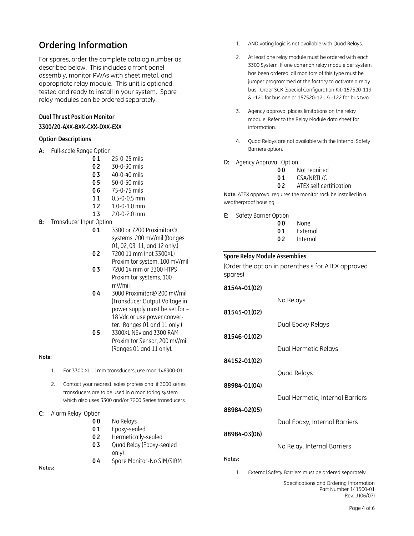# Ordering Information

For spares, order the complete catalog number as described below. This includes a front panel assembly, monitor PWAs with sheet metal, and appropriate relay module. This unit is optioned, tested and ready to install in your system. Spare relay modules can be ordered separately.

#### Dual Thrust Position Monitor

#### 3300/20-AXX-BXX-CXX-DXX-EXX

#### Option Descriptions

- A: Full-scale Range Option
	- 0 1 25-0-25 mils
	- 0 2 30-0-30 mils
	- 0 3 40-0-40 mils
	- 0 5 50-0-50 mils
	- 0 6 75-0-75 mils
	- 11 0.5-0-0.5 mm
	- 12 1.0-0-1.0 mm
	- 1 3 2.0-0-2.0 mm
- **B:** Transducer Input Option
	- 0 1 3300 or 7200 Proximitor<sup>®</sup> systems, 200 mV/mil (Ranges 01, 02, 03, 11, and 12 only.)
	- 0 2 7200 11 mm (not 3300XL) Proximitor system, 100 mV/mil
	- 0 3 7200 14 mm or 3300 HTPS Proximitor systems, 100 mV/mil
	- 0 4 3000 Proximitor® 200 mV/mil (Transducer Output Voltage in power supply must be set for – 18 Vdc or use power converter. Ranges 01 and 11 only.)
	- 0 5 3300XL NSv and 3300 RAM Proximitor Sensor, 200 mV/mil (Ranges 01 and 11 only).

#### Note:

- 1. For 3300 XL 11mm transducers, use mod 146300-01.
- 2. Contact your nearest sales professional if 3000 series transducers are to be used in a monitoring system which also uses 3300 and/or 7200 Series transducers.
- C: Alarm Relay Option

| 00 | No Relays    |
|----|--------------|
| 01 | Epoxy-sealed |

- 02 Hermetically-sealed
- 0 3 Quad Relay (Epoxy-sealed
- only) 04 Spare Monitor-No SIM/SIRM

#### Notes:

- 1. AND voting logic is not available with Quad Relays.
- 2. At least one relay module must be ordered with each 3300 System. If one common relay module per system has been ordered, all monitors of this type must be jumper programmed at the factory to activate a relay bus. Order SCK (Special Configuration Kit) 157520-119 & -120 for bus one or 157520-121 & -122 for bus two.
- 3. Agency approval places limitations on the relay module. Refer to the Relay Module data sheet for information.
- 4. Quad Relays are not available with the Internal Safety Barriers option.
- D: Agency Approval Option
	- 00 Not required
	- 01 CSA/NRTL/C
	- 02 ATEX self certification

Note: ATEX approval requires the monitor rack be installed in a weatherproof housing.

E: Safety Barrier Option

| 00         | None             |
|------------|------------------|
| <u>Δ</u> 1 | <b>F.</b> 4. 222 |

- 01 External
- 02 Internal

#### Spare Relay Module Assemblies

(Order the option in parenthesis for ATEX approved spares)

| 81544-01(02) |                                  |
|--------------|----------------------------------|
|              | No Relays                        |
| 81545-01(02) |                                  |
|              | Dual Epoxy Relays                |
| 81546-01(02) |                                  |
|              | Dual Hermetic Relays             |
| 84152-01(02) |                                  |
|              | Quad Relays                      |
| 88984-01(04) |                                  |
|              | Dual Hermetic, Internal Barriers |
| 88984-02(05) |                                  |
|              | Dual Epoxy, Internal Barriers    |
| 88984-03(06) |                                  |
|              | No Relay, Internal Barriers      |
| Notes:       |                                  |
|              |                                  |

1. External Safety Barriers must be ordered separately.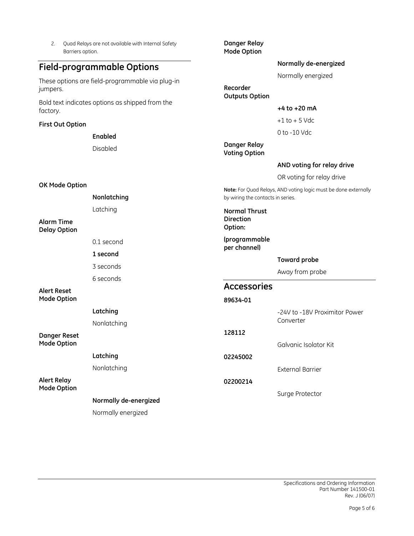| Quad Relays are not available with Internal Safety<br>2.<br>Barriers option. |                       | Danger Relay<br><b>Mode Option</b>                  |                                                                 |  |
|------------------------------------------------------------------------------|-----------------------|-----------------------------------------------------|-----------------------------------------------------------------|--|
| <b>Field-programmable Options</b>                                            |                       |                                                     | Normally de-energized                                           |  |
| These options are field-programmable via plug-in<br>jumpers.                 |                       | Recorder<br><b>Outputs Option</b>                   | Normally energized                                              |  |
| Bold text indicates options as shipped from the<br>factory.                  |                       |                                                     | $+4$ to $+20$ mA                                                |  |
| <b>First Out Option</b>                                                      |                       |                                                     | $+1$ to $+5$ Vdc                                                |  |
|                                                                              | Enabled               |                                                     | 0 to -10 Vdc                                                    |  |
|                                                                              | Disabled              | Danger Relay<br><b>Voting Option</b>                |                                                                 |  |
|                                                                              |                       |                                                     | AND voting for relay drive                                      |  |
|                                                                              |                       |                                                     | OR voting for relay drive                                       |  |
| OK Mode Option<br>Nonlatching                                                |                       | by wiring the contacts in series.                   | Note: For Quad Relays, AND voting logic must be done externally |  |
| <b>Alarm Time</b><br><b>Delay Option</b>                                     | Latching              | <b>Normal Thrust</b><br><b>Direction</b><br>Option: |                                                                 |  |
|                                                                              | 0.1 second            | (programmable<br>per channel)                       |                                                                 |  |
|                                                                              | 1 second              |                                                     | <b>Toward probe</b>                                             |  |
|                                                                              | 3 seconds             |                                                     | Away from probe                                                 |  |
|                                                                              | 6 seconds             | <b>Accessories</b>                                  |                                                                 |  |
| <b>Alert Reset</b><br><b>Mode Option</b>                                     |                       | 89634-01                                            |                                                                 |  |
|                                                                              | Latching              |                                                     | -24V to -18V Proximitor Power                                   |  |
|                                                                              | Nonlatching           |                                                     | Converter                                                       |  |
| <b>Danger Reset</b><br><b>Mode Option</b>                                    |                       | 128112                                              | Galvanic Isolator Kit                                           |  |
|                                                                              | Latching              | 02245002                                            |                                                                 |  |
|                                                                              | Nonlatching           |                                                     | <b>External Barrier</b>                                         |  |
| <b>Alert Relay</b><br><b>Mode Option</b>                                     |                       | 02200214                                            |                                                                 |  |
|                                                                              | Normally de-energized |                                                     | Surge Protector                                                 |  |
|                                                                              | Normally energized    |                                                     |                                                                 |  |